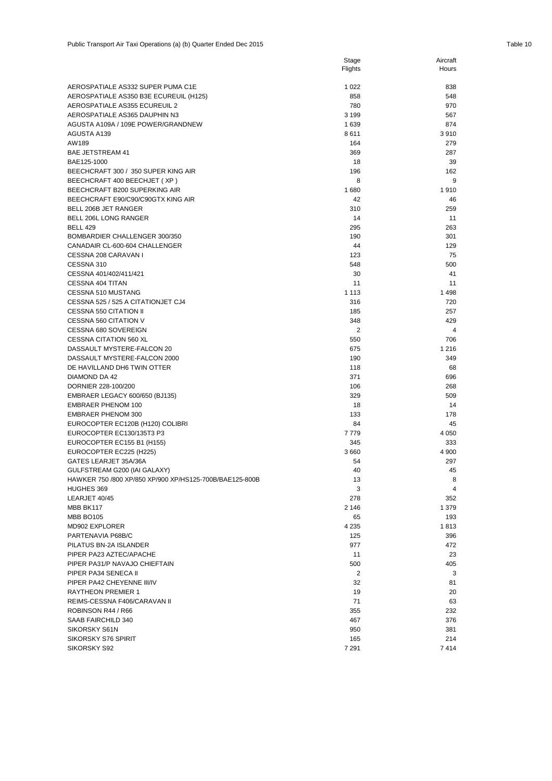|                                                               | Flights    | Hours          |
|---------------------------------------------------------------|------------|----------------|
| AEROSPATIALE AS332 SUPER PUMA C1E                             | 1 0 2 2    | 838            |
| AEROSPATIALE AS350 B3E ECUREUIL (H125)                        | 858        | 548            |
| AEROSPATIALE AS355 ECUREUIL 2                                 | 780        | 970            |
| AEROSPATIALE AS365 DAUPHIN N3                                 | 3 1 9 9    | 567            |
| AGUSTA A109A / 109E POWER/GRANDNEW                            | 1639       | 874            |
| AGUSTA A139                                                   | 8611       | 3910           |
| AW189                                                         | 164        | 279            |
| <b>BAE JETSTREAM 41</b>                                       | 369        | 287            |
| BAE125-1000                                                   | 18         | 39             |
| BEECHCRAFT 300 / 350 SUPER KING AIR                           | 196        | 162            |
| BEECHCRAFT 400 BEECHJET (XP)                                  | 8          | 9              |
| BEECHCRAFT B200 SUPERKING AIR                                 | 1680       | 1910           |
| BEECHCRAFT E90/C90/C90GTX KING AIR                            | 42         | 46             |
| BELL 206B JET RANGER                                          | 310        | 259            |
| BELL 206L LONG RANGER                                         | 14         | 11             |
| <b>BELL 429</b>                                               | 295        | 263            |
| BOMBARDIER CHALLENGER 300/350                                 | 190        | 301            |
| CANADAIR CL-600-604 CHALLENGER                                | 44         | 129            |
| CESSNA 208 CARAVAN I                                          | 123        | 75             |
| CESSNA 310                                                    | 548        | 500            |
| CESSNA 401/402/411/421                                        | 30         | 41             |
| CESSNA 404 TITAN                                              | 11         | 11             |
| CESSNA 510 MUSTANG                                            | 1 1 1 3    | 1498           |
| CESSNA 525 / 525 A CITATIONJET CJ4                            | 316        | 720            |
| <b>CESSNA 550 CITATION II</b>                                 | 185        | 257            |
| CESSNA 560 CITATION V                                         | 348        | 429            |
| CESSNA 680 SOVEREIGN                                          | 2          | $\overline{4}$ |
| <b>CESSNA CITATION 560 XL</b>                                 | 550        | 706            |
| DASSAULT MYSTERE-FALCON 20                                    | 675        | 1 2 1 6        |
| DASSAULT MYSTERE-FALCON 2000                                  | 190        | 349            |
| DE HAVILLAND DH6 TWIN OTTER                                   | 118        | 68             |
| DIAMOND DA 42                                                 | 371        | 696            |
| DORNIER 228-100/200                                           | 106        | 268            |
| EMBRAER LEGACY 600/650 (BJ135)                                | 329        | 509            |
| <b>EMBRAER PHENOM 100</b>                                     | 18         | 14             |
| <b>EMBRAER PHENOM 300</b>                                     | 133        | 178<br>45      |
| EUROCOPTER EC120B (H120) COLIBRI<br>EUROCOPTER EC130/135T3 P3 | 84<br>7779 | 4 0 5 0        |
| EUROCOPTER EC155 B1 (H155)                                    | 345        | 333            |
| EUROCOPTER EC225 (H225)                                       | 3660       | 4 9 0 0        |
| GATES LEARJET 35A/36A                                         | 54         | 297            |
| GULFSTREAM G200 (IAI GALAXY)                                  | 40         | 45             |
| HAWKER 750 /800 XP/850 XP/900 XP/HS125-700B/BAE125-800B       | 13         | 8              |
| HUGHES 369                                                    | 3          | 4              |
| LEARJET 40/45                                                 | 278        | 352            |
| MBB BK117                                                     | 2 1 4 6    | 1 379          |
| <b>MBB BO105</b>                                              | 65         | 193            |
| MD902 EXPLORER                                                | 4 2 3 5    | 1813           |
| PARTENAVIA P68B/C                                             | 125        | 396            |
| PILATUS BN-2A ISLANDER                                        | 977        | 472            |
| PIPER PA23 AZTEC/APACHE                                       | 11         | 23             |
| PIPER PA31/P NAVAJO CHIEFTAIN                                 | 500        | 405            |
| PIPER PA34 SENECA II                                          | 2          | 3              |
| PIPER PA42 CHEYENNE III/IV                                    | 32         | 81             |
| <b>RAYTHEON PREMIER 1</b>                                     | 19         | 20             |
| REIMS-CESSNA F406/CARAVAN II                                  | 71         | 63             |
| ROBINSON R44 / R66                                            | 355        | 232            |
| SAAB FAIRCHILD 340                                            | 467        | 376            |
| SIKORSKY S61N                                                 | 950        | 381            |
| SIKORSKY S76 SPIRIT                                           | 165        | 214            |
| SIKORSKY S92                                                  | 7 2 9 1    | 7414           |

Stage

Aircraft